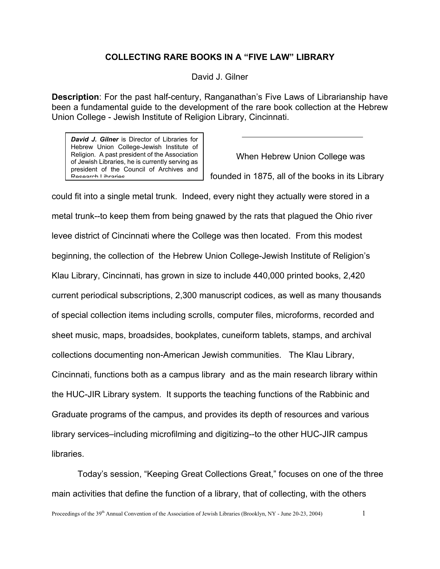## **COLLECTING RARE BOOKS IN A "FIVE LAW" LIBRARY**

David J. Gilner

**Description**: For the past half-century, Ranganathan's Five Laws of Librarianship have been a fundamental guide to the development of the rare book collection at the Hebrew Union College - Jewish Institute of Religion Library, Cincinnati.

*David J. Gilner* is Director of Libraries for Hebrew Union College-Jewish Institute of Religion. A past president of the Association of Jewish Libraries, he is currently serving as president of the Council of Archives and Research Libraries

When Hebrew Union College was founded in 1875, all of the books in its Library

could fit into a single metal trunk. Indeed, every night they actually were stored in a metal trunk--to keep them from being gnawed by the rats that plagued the Ohio river levee district of Cincinnati where the College was then located. From this modest beginning, the collection of the Hebrew Union College-Jewish Institute of Religion's Klau Library, Cincinnati, has grown in size to include 440,000 printed books, 2,420 current periodical subscriptions, 2,300 manuscript codices, as well as many thousands of special collection items including scrolls, computer files, microforms, recorded and sheet music, maps, broadsides, bookplates, cuneiform tablets, stamps, and archival collections documenting non-American Jewish communities. The Klau Library, Cincinnati, functions both as a campus library and as the main research library within the HUC-JIR Library system. It supports the teaching functions of the Rabbinic and Graduate programs of the campus, and provides its depth of resources and various library services–including microfilming and digitizing--to the other HUC-JIR campus libraries.

Today's session, "Keeping Great Collections Great," focuses on one of the three main activities that define the function of a library, that of collecting, with the others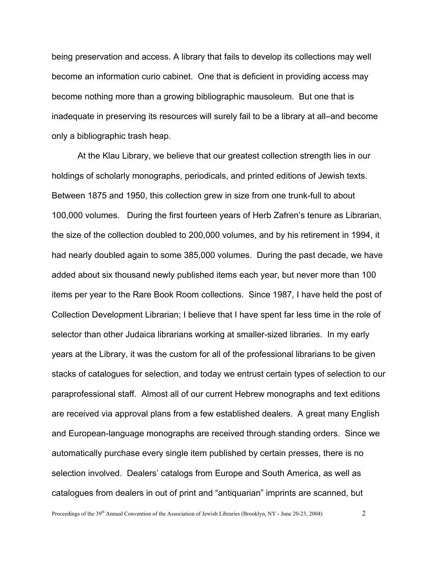being preservation and access. A library that fails to develop its collections may well become an information curio cabinet. One that is deficient in providing access may become nothing more than a growing bibliographic mausoleum. But one that is inadequate in preserving its resources will surely fail to be a library at all–and become only a bibliographic trash heap.

At the Klau Library, we believe that our greatest collection strength lies in our holdings of scholarly monographs, periodicals, and printed editions of Jewish texts. Between 1875 and 1950, this collection grew in size from one trunk-full to about 100,000 volumes. During the first fourteen years of Herb Zafren's tenure as Librarian, the size of the collection doubled to 200,000 volumes, and by his retirement in 1994, it had nearly doubled again to some 385,000 volumes. During the past decade, we have added about six thousand newly published items each year, but never more than 100 items per year to the Rare Book Room collections. Since 1987, I have held the post of Collection Development Librarian; I believe that I have spent far less time in the role of selector than other Judaica librarians working at smaller-sized libraries. In my early years at the Library, it was the custom for all of the professional librarians to be given stacks of catalogues for selection, and today we entrust certain types of selection to our paraprofessional staff. Almost all of our current Hebrew monographs and text editions are received via approval plans from a few established dealers. A great many English and European-language monographs are received through standing orders. Since we automatically purchase every single item published by certain presses, there is no selection involved. Dealers' catalogs from Europe and South America, as well as catalogues from dealers in out of print and "antiquarian" imprints are scanned, but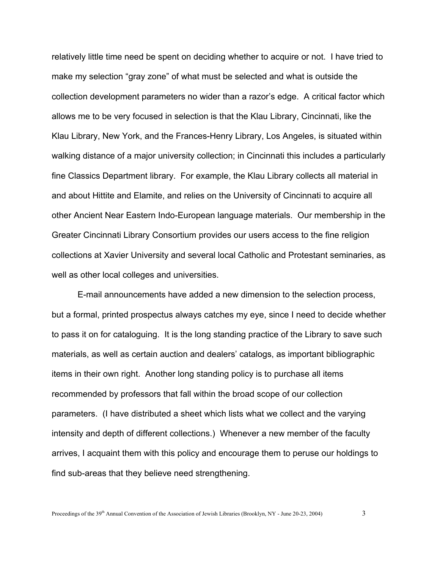relatively little time need be spent on deciding whether to acquire or not. I have tried to make my selection "gray zone" of what must be selected and what is outside the collection development parameters no wider than a razor's edge. A critical factor which allows me to be very focused in selection is that the Klau Library, Cincinnati, like the Klau Library, New York, and the Frances-Henry Library, Los Angeles, is situated within walking distance of a major university collection; in Cincinnati this includes a particularly fine Classics Department library. For example, the Klau Library collects all material in and about Hittite and Elamite, and relies on the University of Cincinnati to acquire all other Ancient Near Eastern Indo-European language materials. Our membership in the Greater Cincinnati Library Consortium provides our users access to the fine religion collections at Xavier University and several local Catholic and Protestant seminaries, as well as other local colleges and universities.

E-mail announcements have added a new dimension to the selection process, but a formal, printed prospectus always catches my eye, since I need to decide whether to pass it on for cataloguing. It is the long standing practice of the Library to save such materials, as well as certain auction and dealers' catalogs, as important bibliographic items in their own right. Another long standing policy is to purchase all items recommended by professors that fall within the broad scope of our collection parameters. (I have distributed a sheet which lists what we collect and the varying intensity and depth of different collections.) Whenever a new member of the faculty arrives, I acquaint them with this policy and encourage them to peruse our holdings to find sub-areas that they believe need strengthening.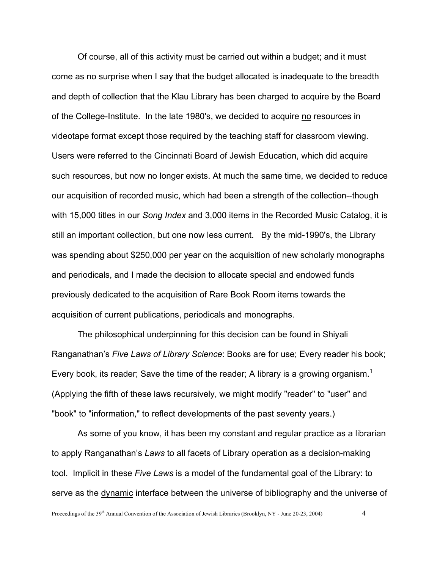Of course, all of this activity must be carried out within a budget; and it must come as no surprise when I say that the budget allocated is inadequate to the breadth and depth of collection that the Klau Library has been charged to acquire by the Board of the College-Institute. In the late 1980's, we decided to acquire no resources in videotape format except those required by the teaching staff for classroom viewing. Users were referred to the Cincinnati Board of Jewish Education, which did acquire such resources, but now no longer exists. At much the same time, we decided to reduce our acquisition of recorded music, which had been a strength of the collection--though with 15,000 titles in our *Song Index* and 3,000 items in the Recorded Music Catalog, it is still an important collection, but one now less current. By the mid-1990's, the Library was spending about \$250,000 per year on the acquisition of new scholarly monographs and periodicals, and I made the decision to allocate special and endowed funds previously dedicated to the acquisition of Rare Book Room items towards the acquisition of current publications, periodicals and monographs.

The philosophical underpinning for this decision can be found in Shiyali Ranganathan's *Five Laws of Library Science*: Books are for use; Every reader his book; Every book, its reader; Save the time of the reader; A library is a growing organism.<sup>[1](#page-7-0)</sup> (Applying the fifth of these laws recursively, we might modify "reader" to "user" and "book" to "information," to reflect developments of the past seventy years.)

As some of you know, it has been my constant and regular practice as a librarian to apply Ranganathan's *Laws* to all facets of Library operation as a decision-making tool. Implicit in these *Five Laws* is a model of the fundamental goal of the Library: to serve as the dynamic interface between the universe of bibliography and the universe of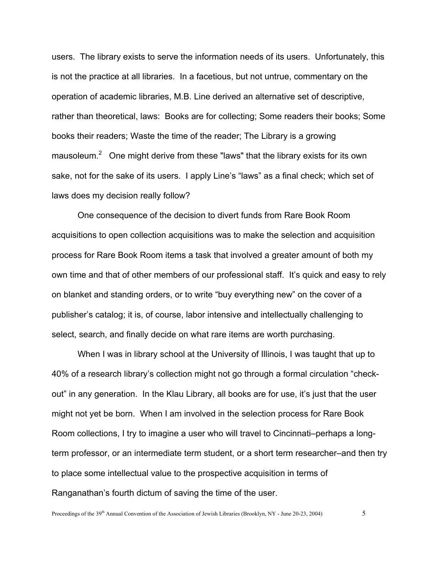users. The library exists to serve the information needs of its users. Unfortunately, this is not the practice at all libraries. In a facetious, but not untrue, commentary on the operation of academic libraries, M.B. Line derived an alternative set of descriptive, rather than theoretical, laws: Books are for collecting; Some readers their books; Some books their readers; Waste the time of the reader; The Library is a growing mausoleum.<sup>[2](#page-7-1)</sup> One might derive from these "laws" that the library exists for its own sake, not for the sake of its users. I apply Line's "laws" as a final check; which set of laws does my decision really follow?

One consequence of the decision to divert funds from Rare Book Room acquisitions to open collection acquisitions was to make the selection and acquisition process for Rare Book Room items a task that involved a greater amount of both my own time and that of other members of our professional staff. It's quick and easy to rely on blanket and standing orders, or to write "buy everything new" on the cover of a publisher's catalog; it is, of course, labor intensive and intellectually challenging to select, search, and finally decide on what rare items are worth purchasing.

When I was in library school at the University of Illinois, I was taught that up to 40% of a research library's collection might not go through a formal circulation "checkout" in any generation. In the Klau Library, all books are for use, it's just that the user might not yet be born. When I am involved in the selection process for Rare Book Room collections, I try to imagine a user who will travel to Cincinnati–perhaps a longterm professor, or an intermediate term student, or a short term researcher–and then try to place some intellectual value to the prospective acquisition in terms of Ranganathan's fourth dictum of saving the time of the user.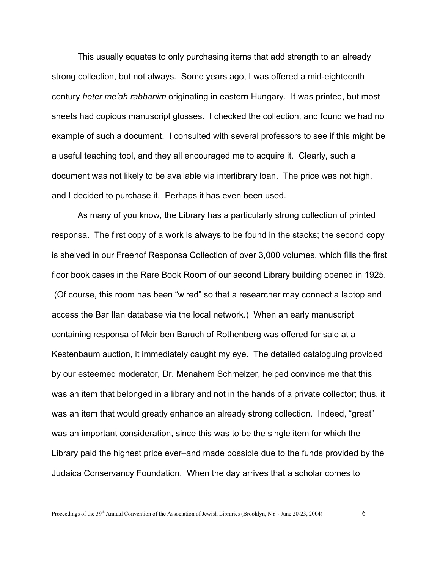This usually equates to only purchasing items that add strength to an already strong collection, but not always. Some years ago, I was offered a mid-eighteenth century *heter me'ah rabbanim* originating in eastern Hungary. It was printed, but most sheets had copious manuscript glosses. I checked the collection, and found we had no example of such a document. I consulted with several professors to see if this might be a useful teaching tool, and they all encouraged me to acquire it. Clearly, such a document was not likely to be available via interlibrary loan. The price was not high, and I decided to purchase it. Perhaps it has even been used.

As many of you know, the Library has a particularly strong collection of printed responsa. The first copy of a work is always to be found in the stacks; the second copy is shelved in our Freehof Responsa Collection of over 3,000 volumes, which fills the first floor book cases in the Rare Book Room of our second Library building opened in 1925. (Of course, this room has been "wired" so that a researcher may connect a laptop and access the Bar Ilan database via the local network.) When an early manuscript containing responsa of Meir ben Baruch of Rothenberg was offered for sale at a Kestenbaum auction, it immediately caught my eye. The detailed cataloguing provided by our esteemed moderator, Dr. Menahem Schmelzer, helped convince me that this was an item that belonged in a library and not in the hands of a private collector; thus, it was an item that would greatly enhance an already strong collection. Indeed, "great" was an important consideration, since this was to be the single item for which the Library paid the highest price ever–and made possible due to the funds provided by the Judaica Conservancy Foundation. When the day arrives that a scholar comes to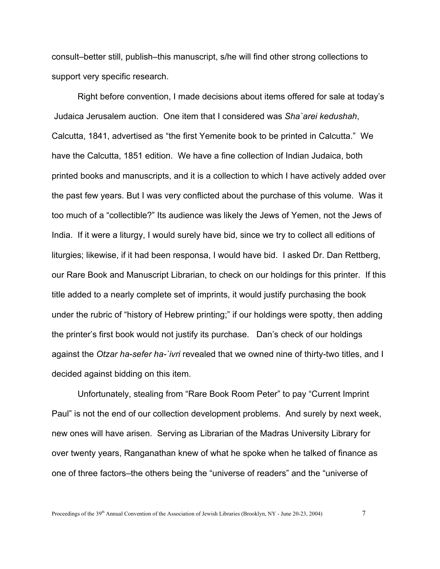consult–better still, publish–this manuscript, s/he will find other strong collections to support very specific research.

Right before convention, I made decisions about items offered for sale at today's Judaica Jerusalem auction. One item that I considered was *Sha`arei kedushah*, Calcutta, 1841, advertised as "the first Yemenite book to be printed in Calcutta." We have the Calcutta, 1851 edition. We have a fine collection of Indian Judaica, both printed books and manuscripts, and it is a collection to which I have actively added over the past few years. But I was very conflicted about the purchase of this volume. Was it too much of a "collectible?" Its audience was likely the Jews of Yemen, not the Jews of India. If it were a liturgy, I would surely have bid, since we try to collect all editions of liturgies; likewise, if it had been responsa, I would have bid. I asked Dr. Dan Rettberg, our Rare Book and Manuscript Librarian, to check on our holdings for this printer. If this title added to a nearly complete set of imprints, it would justify purchasing the book under the rubric of "history of Hebrew printing;" if our holdings were spotty, then adding the printer's first book would not justify its purchase. Dan's check of our holdings against the *Otzar ha-sefer ha-`ivri* revealed that we owned nine of thirty-two titles, and I decided against bidding on this item.

Unfortunately, stealing from "Rare Book Room Peter" to pay "Current Imprint Paul" is not the end of our collection development problems. And surely by next week, new ones will have arisen. Serving as Librarian of the Madras University Library for over twenty years, Ranganathan knew of what he spoke when he talked of finance as one of three factors–the others being the "universe of readers" and the "universe of